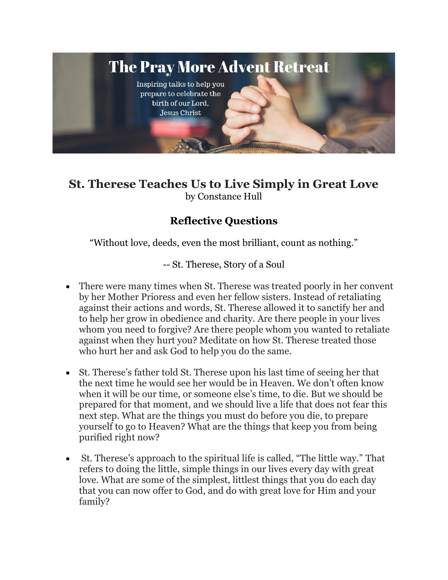

## **St. Therese Teaches Us to Live Simply in Great Love**  by Constance Hull

## **Reflective Questions**

"Without love, deeds, even the most brilliant, count as nothing."

-- St. Therese, Story of a Soul

- There were many times when St. Therese was treated poorly in her convent by her Mother Prioress and even her fellow sisters. Instead of retaliating against their actions and words, St. Therese allowed it to sanctify her and to help her grow in obedience and charity. Are there people in your lives whom you need to forgive? Are there people whom you wanted to retaliate against when they hurt you? Meditate on how St. Therese treated those who hurt her and ask God to help you do the same.
- St. Therese's father told St. Therese upon his last time of seeing her that the next time he would see her would be in Heaven. We don't often know when it will be our time, or someone else's time, to die. But we should be prepared for that moment, and we should live a life that does not fear this next step. What are the things you must do before you die, to prepare yourself to go to Heaven? What are the things that keep you from being purified right now?
- St. Therese's approach to the spiritual life is called, "The little way." That refers to doing the little, simple things in our lives every day with great love. What are some of the simplest, littlest things that you do each day that you can now offer to God, and do with great love for Him and your family?